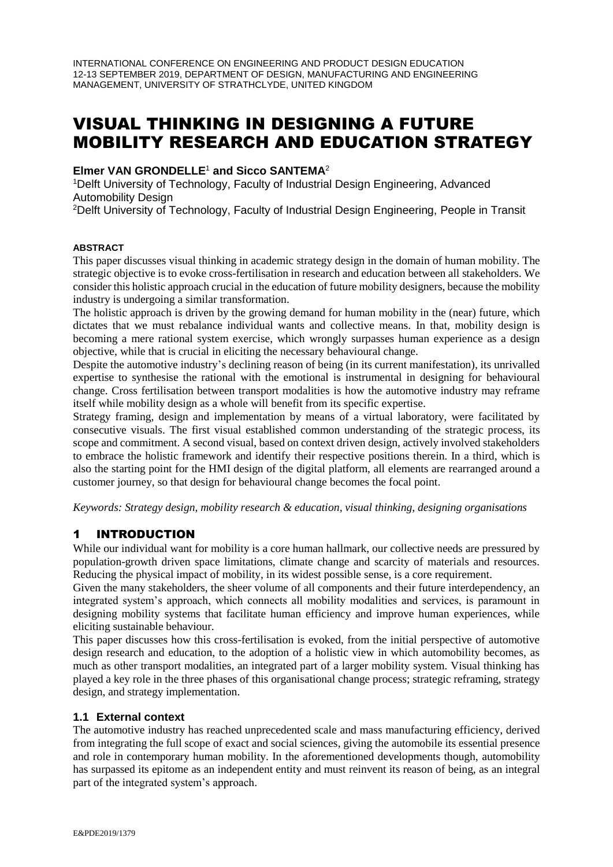INTERNATIONAL CONFERENCE ON ENGINEERING AND PRODUCT DESIGN EDUCATION 12-13 SEPTEMBER 2019, DEPARTMENT OF DESIGN, MANUFACTURING AND ENGINEERING MANAGEMENT, UNIVERSITY OF STRATHCLYDE, UNITED KINGDOM

# VISUAL THINKING IN DESIGNING A FUTURE MOBILITY RESEARCH AND EDUCATION STRATEGY

#### **Elmer VAN GRONDELLE**<sup>1</sup> **and Sicco SANTEMA**<sup>2</sup>

<sup>1</sup>Delft University of Technology, Faculty of Industrial Design Engineering, Advanced Automobility Design

<sup>2</sup>Delft University of Technology, Faculty of Industrial Design Engineering, People in Transit

#### **ABSTRACT**

This paper discusses visual thinking in academic strategy design in the domain of human mobility. The strategic objective is to evoke cross-fertilisation in research and education between all stakeholders. We consider this holistic approach crucial in the education of future mobility designers, because the mobility industry is undergoing a similar transformation.

The holistic approach is driven by the growing demand for human mobility in the (near) future, which dictates that we must rebalance individual wants and collective means. In that, mobility design is becoming a mere rational system exercise, which wrongly surpasses human experience as a design objective, while that is crucial in eliciting the necessary behavioural change.

Despite the automotive industry's declining reason of being (in its current manifestation), its unrivalled expertise to synthesise the rational with the emotional is instrumental in designing for behavioural change. Cross fertilisation between transport modalities is how the automotive industry may reframe itself while mobility design as a whole will benefit from its specific expertise.

Strategy framing, design and implementation by means of a virtual laboratory, were facilitated by consecutive visuals. The first visual established common understanding of the strategic process, its scope and commitment. A second visual, based on context driven design, actively involved stakeholders to embrace the holistic framework and identify their respective positions therein. In a third, which is also the starting point for the HMI design of the digital platform, all elements are rearranged around a customer journey, so that design for behavioural change becomes the focal point.

*Keywords: Strategy design, mobility research & education, visual thinking, designing organisations*

## 1 INTRODUCTION

While our individual want for mobility is a core human hallmark, our collective needs are pressured by population-growth driven space limitations, climate change and scarcity of materials and resources. Reducing the physical impact of mobility, in its widest possible sense, is a core requirement.

Given the many stakeholders, the sheer volume of all components and their future interdependency, an integrated system's approach, which connects all mobility modalities and services, is paramount in designing mobility systems that facilitate human efficiency and improve human experiences, while eliciting sustainable behaviour.

This paper discusses how this cross-fertilisation is evoked, from the initial perspective of automotive design research and education, to the adoption of a holistic view in which automobility becomes, as much as other transport modalities, an integrated part of a larger mobility system. Visual thinking has played a key role in the three phases of this organisational change process; strategic reframing, strategy design, and strategy implementation.

#### **1.1 External context**

The automotive industry has reached unprecedented scale and mass manufacturing efficiency, derived from integrating the full scope of exact and social sciences, giving the automobile its essential presence and role in contemporary human mobility. In the aforementioned developments though, automobility has surpassed its epitome as an independent entity and must reinvent its reason of being, as an integral part of the integrated system's approach.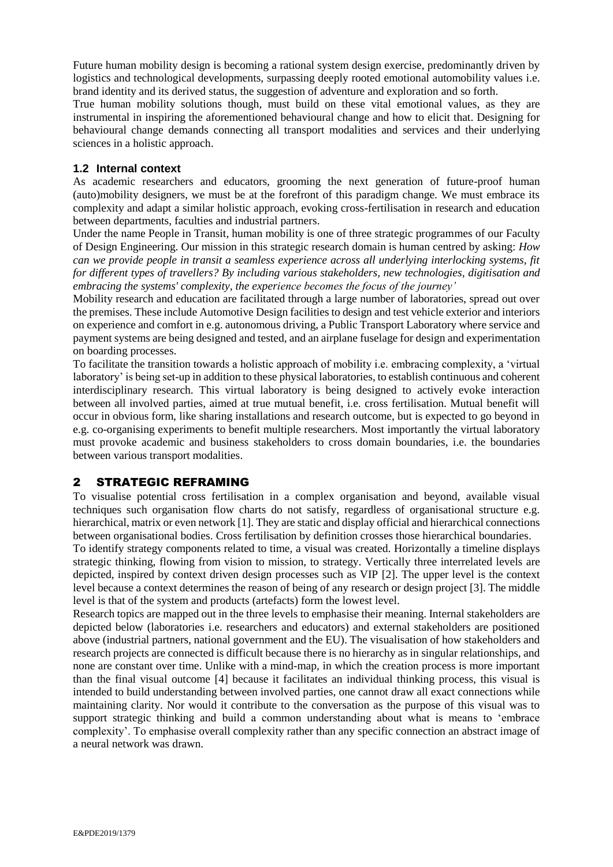Future human mobility design is becoming a rational system design exercise, predominantly driven by logistics and technological developments, surpassing deeply rooted emotional automobility values i.e. brand identity and its derived status, the suggestion of adventure and exploration and so forth.

True human mobility solutions though, must build on these vital emotional values, as they are instrumental in inspiring the aforementioned behavioural change and how to elicit that. Designing for behavioural change demands connecting all transport modalities and services and their underlying sciences in a holistic approach.

### **1.2 Internal context**

As academic researchers and educators, grooming the next generation of future-proof human (auto)mobility designers, we must be at the forefront of this paradigm change. We must embrace its complexity and adapt a similar holistic approach, evoking cross-fertilisation in research and education between departments, faculties and industrial partners.

Under the name People in Transit, human mobility is one of three strategic programmes of our Faculty of Design Engineering. Our mission in this strategic research domain is human centred by asking: *How can we provide people in transit a seamless experience across all underlying interlocking systems, fit for different types of travellers? By including various stakeholders, new technologies, digitisation and embracing the systems' complexity, the experience becomes the focus of the journey'*

Mobility research and education are facilitated through a large number of laboratories, spread out over the premises. These include Automotive Design facilities to design and test vehicle exterior and interiors on experience and comfort in e.g. autonomous driving, a Public Transport Laboratory where service and payment systems are being designed and tested, and an airplane fuselage for design and experimentation on boarding processes.

To facilitate the transition towards a holistic approach of mobility i.e. embracing complexity, a 'virtual laboratory' is being set-up in addition to these physical laboratories, to establish continuous and coherent interdisciplinary research. This virtual laboratory is being designed to actively evoke interaction between all involved parties, aimed at true mutual benefit, i.e. cross fertilisation. Mutual benefit will occur in obvious form, like sharing installations and research outcome, but is expected to go beyond in e.g. co-organising experiments to benefit multiple researchers. Most importantly the virtual laboratory must provoke academic and business stakeholders to cross domain boundaries, i.e. the boundaries between various transport modalities.

## 2 STRATEGIC REFRAMING

To visualise potential cross fertilisation in a complex organisation and beyond, available visual techniques such organisation flow charts do not satisfy, regardless of organisational structure e.g. hierarchical, matrix or even network [1]. They are static and display official and hierarchical connections between organisational bodies. Cross fertilisation by definition crosses those hierarchical boundaries.

To identify strategy components related to time, a visual was created. Horizontally a timeline displays strategic thinking, flowing from vision to mission, to strategy. Vertically three interrelated levels are depicted, inspired by context driven design processes such as VIP [2]. The upper level is the context level because a context determines the reason of being of any research or design project [3]. The middle level is that of the system and products (artefacts) form the lowest level.

Research topics are mapped out in the three levels to emphasise their meaning. Internal stakeholders are depicted below (laboratories i.e. researchers and educators) and external stakeholders are positioned above (industrial partners, national government and the EU). The visualisation of how stakeholders and research projects are connected is difficult because there is no hierarchy as in singular relationships, and none are constant over time. Unlike with a mind-map, in which the creation process is more important than the final visual outcome [4] because it facilitates an individual thinking process, this visual is intended to build understanding between involved parties, one cannot draw all exact connections while maintaining clarity. Nor would it contribute to the conversation as the purpose of this visual was to support strategic thinking and build a common understanding about what is means to 'embrace complexity'. To emphasise overall complexity rather than any specific connection an abstract image of a neural network was drawn.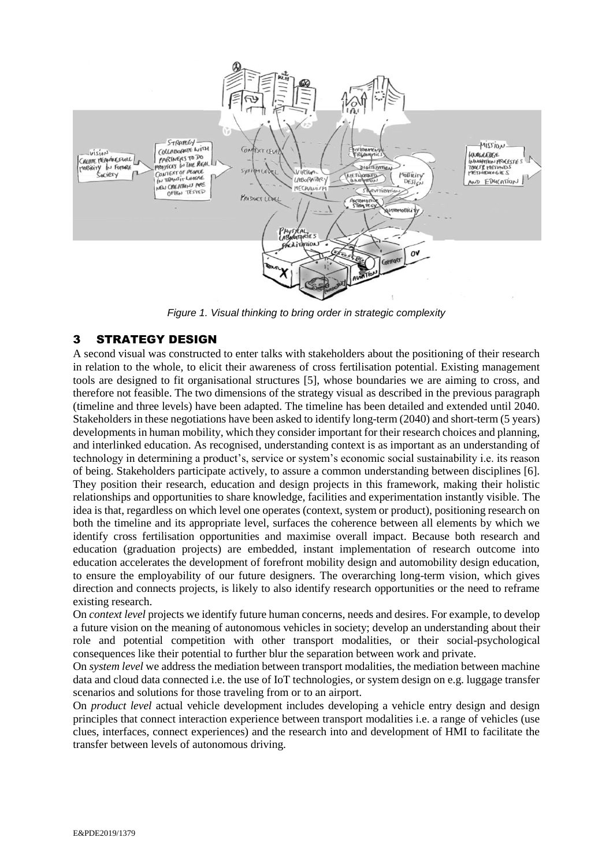

*Figure 1. Visual thinking to bring order in strategic complexity*

## 3 STRATEGY DESIGN

A second visual was constructed to enter talks with stakeholders about the positioning of their research in relation to the whole, to elicit their awareness of cross fertilisation potential. Existing management tools are designed to fit organisational structures [5], whose boundaries we are aiming to cross, and therefore not feasible. The two dimensions of the strategy visual as described in the previous paragraph (timeline and three levels) have been adapted. The timeline has been detailed and extended until 2040. Stakeholders in these negotiations have been asked to identify long-term (2040) and short-term (5 years) developments in human mobility, which they consider important for their research choices and planning, and interlinked education. As recognised, understanding context is as important as an understanding of technology in determining a product's, service or system's economic social sustainability i.e. its reason of being. Stakeholders participate actively, to assure a common understanding between disciplines [6]. They position their research, education and design projects in this framework, making their holistic relationships and opportunities to share knowledge, facilities and experimentation instantly visible. The idea is that, regardless on which level one operates (context, system or product), positioning research on both the timeline and its appropriate level, surfaces the coherence between all elements by which we identify cross fertilisation opportunities and maximise overall impact. Because both research and education (graduation projects) are embedded, instant implementation of research outcome into education accelerates the development of forefront mobility design and automobility design education, to ensure the employability of our future designers. The overarching long-term vision, which gives direction and connects projects, is likely to also identify research opportunities or the need to reframe existing research.

On *context level* projects we identify future human concerns, needs and desires. For example, to develop a future vision on the meaning of autonomous vehicles in society; develop an understanding about their role and potential competition with other transport modalities, or their social-psychological consequences like their potential to further blur the separation between work and private.

On *system level* we address the mediation between transport modalities, the mediation between machine data and cloud data connected i.e. the use of IoT technologies, or system design on e.g. luggage transfer scenarios and solutions for those traveling from or to an airport.

On *product level* actual vehicle development includes developing a vehicle entry design and design principles that connect interaction experience between transport modalities i.e. a range of vehicles (use clues, interfaces, connect experiences) and the research into and development of HMI to facilitate the transfer between levels of autonomous driving.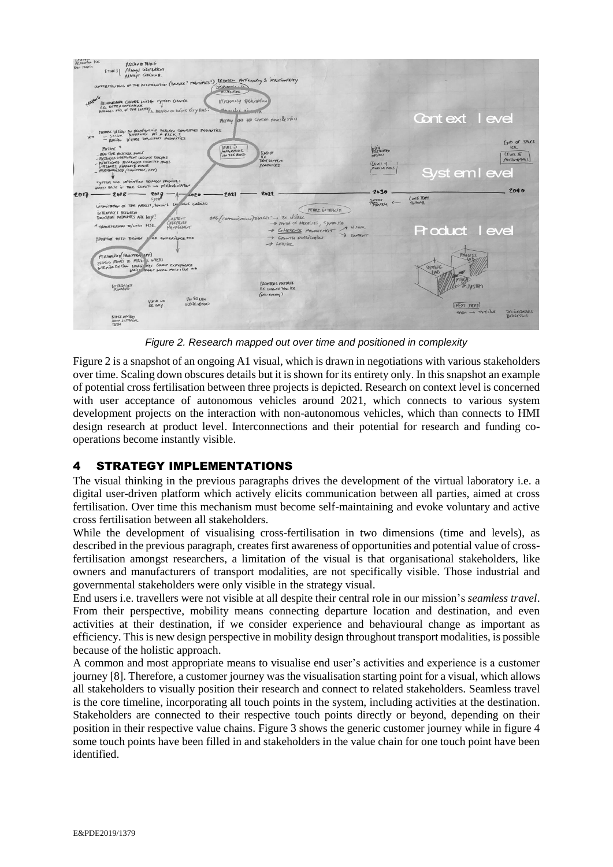

*Figure 2. Research mapped out over time and positioned in complexity*

Figure 2 is a snapshot of an ongoing A1 visual, which is drawn in negotiations with various stakeholders over time. Scaling down obscures details but it is shown for its entirety only. In this snapshot an example of potential cross fertilisation between three projects is depicted. Research on context level is concerned with user acceptance of autonomous vehicles around 2021, which connects to various system development projects on the interaction with non-autonomous vehicles, which than connects to HMI design research at product level. Interconnections and their potential for research and funding cooperations become instantly visible.

## 4 STRATEGY IMPLEMENTATIONS

The visual thinking in the previous paragraphs drives the development of the virtual laboratory i.e. a digital user-driven platform which actively elicits communication between all parties, aimed at cross fertilisation. Over time this mechanism must become self-maintaining and evoke voluntary and active cross fertilisation between all stakeholders.

While the development of visualising cross-fertilisation in two dimensions (time and levels), as described in the previous paragraph, creates first awareness of opportunities and potential value of crossfertilisation amongst researchers, a limitation of the visual is that organisational stakeholders, like owners and manufacturers of transport modalities, are not specifically visible. Those industrial and governmental stakeholders were only visible in the strategy visual.

End users i.e. travellers were not visible at all despite their central role in our mission's *seamless travel*. From their perspective, mobility means connecting departure location and destination, and even activities at their destination, if we consider experience and behavioural change as important as efficiency. This is new design perspective in mobility design throughout transport modalities, is possible because of the holistic approach.

A common and most appropriate means to visualise end user's activities and experience is a customer journey [8]. Therefore, a customer journey was the visualisation starting point for a visual, which allows all stakeholders to visually position their research and connect to related stakeholders. Seamless travel is the core timeline, incorporating all touch points in the system, including activities at the destination. Stakeholders are connected to their respective touch points directly or beyond, depending on their position in their respective value chains. Figure 3 shows the generic customer journey while in figure 4 some touch points have been filled in and stakeholders in the value chain for one touch point have been identified.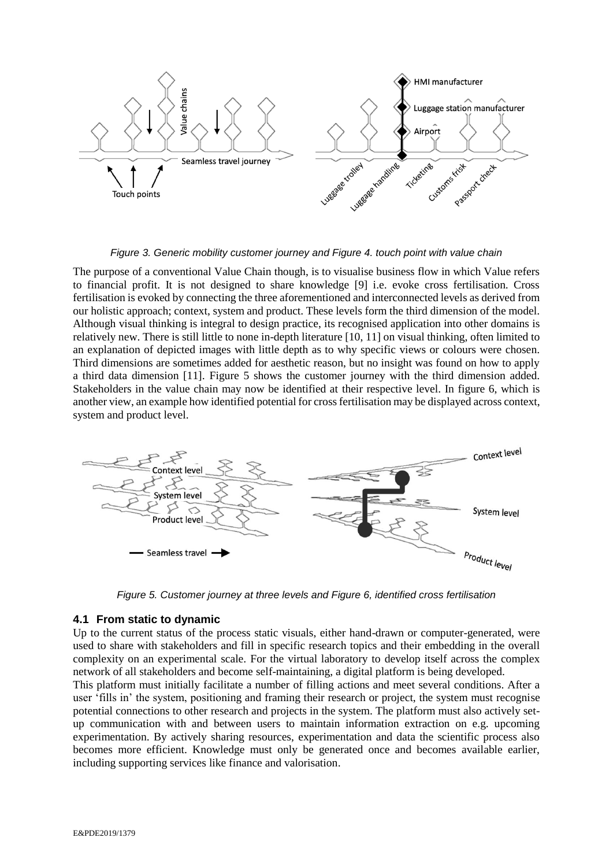

*Figure 3. Generic mobility customer journey and Figure 4. touch point with value chain*

The purpose of a conventional Value Chain though, is to visualise business flow in which Value refers to financial profit. It is not designed to share knowledge [9] i.e. evoke cross fertilisation. Cross fertilisation is evoked by connecting the three aforementioned and interconnected levels as derived from our holistic approach; context, system and product. These levels form the third dimension of the model. Although visual thinking is integral to design practice, its recognised application into other domains is relatively new. There is still little to none in-depth literature [10, 11] on visual thinking, often limited to an explanation of depicted images with little depth as to why specific views or colours were chosen. Third dimensions are sometimes added for aesthetic reason, but no insight was found on how to apply a third data dimension [11]. Figure 5 shows the customer journey with the third dimension added. Stakeholders in the value chain may now be identified at their respective level. In figure 6, which is another view, an example how identified potential for cross fertilisation may be displayed across context, system and product level.



*Figure 5. Customer journey at three levels and Figure 6, identified cross fertilisation*

#### **4.1 From static to dynamic**

Up to the current status of the process static visuals, either hand-drawn or computer-generated, were used to share with stakeholders and fill in specific research topics and their embedding in the overall complexity on an experimental scale. For the virtual laboratory to develop itself across the complex network of all stakeholders and become self-maintaining, a digital platform is being developed.

This platform must initially facilitate a number of filling actions and meet several conditions. After a user 'fills in' the system, positioning and framing their research or project, the system must recognise potential connections to other research and projects in the system. The platform must also actively setup communication with and between users to maintain information extraction on e.g. upcoming experimentation. By actively sharing resources, experimentation and data the scientific process also becomes more efficient. Knowledge must only be generated once and becomes available earlier, including supporting services like finance and valorisation.